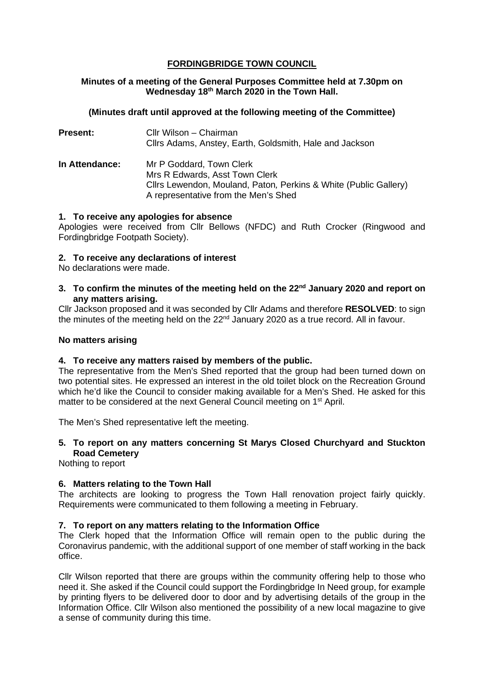# **FORDINGBRIDGE TOWN COUNCIL**

# **Minutes of a meeting of the General Purposes Committee held at 7.30pm on Wednesday 18th March 2020 in the Town Hall.**

# **(Minutes draft until approved at the following meeting of the Committee)**

| <b>Present:</b>       | Cllr Wilson - Chairman<br>Cllrs Adams, Anstey, Earth, Goldsmith, Hale and Jackson                                                                                      |
|-----------------------|------------------------------------------------------------------------------------------------------------------------------------------------------------------------|
| <b>In Attendance:</b> | Mr P Goddard, Town Clerk<br>Mrs R Edwards, Asst Town Clerk<br>Cllrs Lewendon, Mouland, Paton, Perkins & White (Public Gallery)<br>A representative from the Men's Shed |

## **1. To receive any apologies for absence**

Apologies were received from Cllr Bellows (NFDC) and Ruth Crocker (Ringwood and Fordingbridge Footpath Society).

## **2. To receive any declarations of interest**

No declarations were made.

## **3. To confirm the minutes of the meeting held on the 22nd January 2020 and report on any matters arising.**

Cllr Jackson proposed and it was seconded by Cllr Adams and therefore **RESOLVED**: to sign the minutes of the meeting held on the 22<sup>nd</sup> January 2020 as a true record. All in favour.

## **No matters arising**

#### **4. To receive any matters raised by members of the public.**

The representative from the Men's Shed reported that the group had been turned down on two potential sites. He expressed an interest in the old toilet block on the Recreation Ground which he'd like the Council to consider making available for a Men's Shed. He asked for this matter to be considered at the next General Council meeting on 1<sup>st</sup> April.

The Men's Shed representative left the meeting.

# **5. To report on any matters concerning St Marys Closed Churchyard and Stuckton Road Cemetery**

Nothing to report

# **6. Matters relating to the Town Hall**

The architects are looking to progress the Town Hall renovation project fairly quickly. Requirements were communicated to them following a meeting in February.

#### **7. To report on any matters relating to the Information Office**

The Clerk hoped that the Information Office will remain open to the public during the Coronavirus pandemic, with the additional support of one member of staff working in the back office.

Cllr Wilson reported that there are groups within the community offering help to those who need it. She asked if the Council could support the Fordingbridge In Need group, for example by printing flyers to be delivered door to door and by advertising details of the group in the Information Office. Cllr Wilson also mentioned the possibility of a new local magazine to give a sense of community during this time.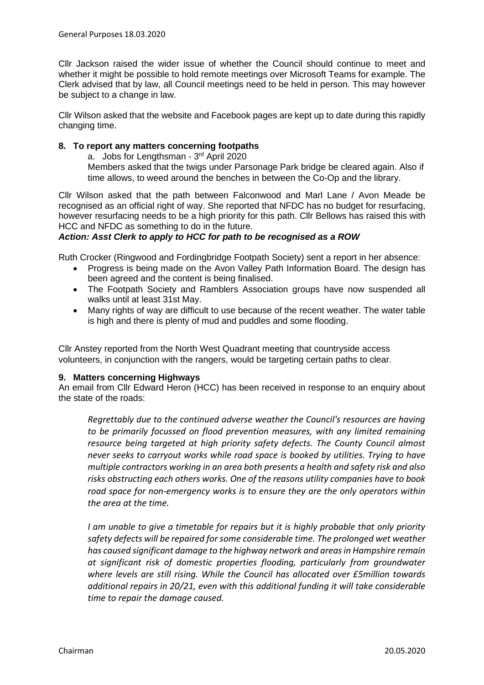Cllr Jackson raised the wider issue of whether the Council should continue to meet and whether it might be possible to hold remote meetings over Microsoft Teams for example. The Clerk advised that by law, all Council meetings need to be held in person. This may however be subject to a change in law.

Cllr Wilson asked that the website and Facebook pages are kept up to date during this rapidly changing time.

## **8. To report any matters concerning footpaths**

a. Jobs for Lengthsman - 3rd April 2020

Members asked that the twigs under Parsonage Park bridge be cleared again. Also if time allows, to weed around the benches in between the Co-Op and the library.

Cllr Wilson asked that the path between Falconwood and Marl Lane / Avon Meade be recognised as an official right of way. She reported that NFDC has no budget for resurfacing, however resurfacing needs to be a high priority for this path. Cllr Bellows has raised this with HCC and NFDC as something to do in the future.

## *Action: Asst Clerk to apply to HCC for path to be recognised as a ROW*

Ruth Crocker (Ringwood and Fordingbridge Footpath Society) sent a report in her absence:

- Progress is being made on the Avon Valley Path Information Board. The design has been agreed and the content is being finalised.
- The Footpath Society and Ramblers Association groups have now suspended all walks until at least 31st May.
- Many rights of way are difficult to use because of the recent weather. The water table is high and there is plenty of mud and puddles and some flooding.

Cllr Anstey reported from the North West Quadrant meeting that countryside access volunteers, in conjunction with the rangers, would be targeting certain paths to clear.

# **9. Matters concerning Highways**

An email from Cllr Edward Heron (HCC) has been received in response to an enquiry about the state of the roads:

*Regrettably due to the continued adverse weather the Council's resources are having to be primarily focussed on flood prevention measures, with any limited remaining resource being targeted at high priority safety defects. The County Council almost never seeks to carryout works while road space is booked by utilities. Trying to have multiple contractors working in an area both presents a health and safety risk and also risks obstructing each others works. One of the reasons utility companies have to book road space for non-emergency works is to ensure they are the only operators within the area at the time.*

*I am unable to give a timetable for repairs but it is highly probable that only priority safety defects will be repaired for some considerable time. The prolonged wet weather has caused significant damage to the highway network and areas in Hampshire remain at significant risk of domestic properties flooding, particularly from groundwater where levels are still rising. While the Council has allocated over £5million towards additional repairs in 20/21, even with this additional funding it will take considerable time to repair the damage caused.*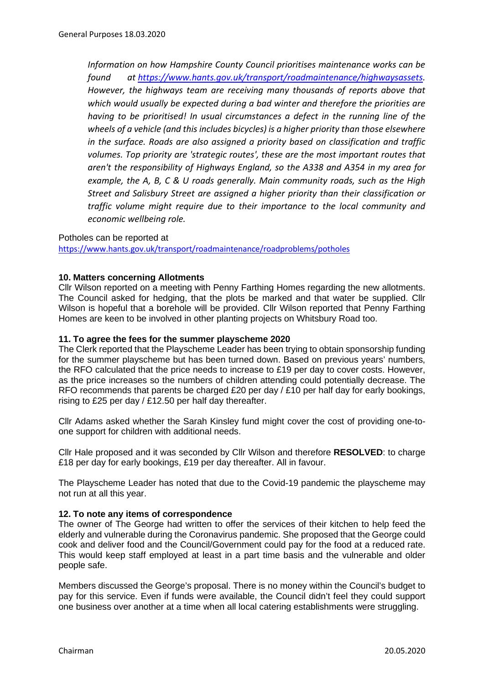*Information on how Hampshire County Council prioritises maintenance works can be found at [https://www.hants.gov.uk/transport/roadmaintenance/highwaysassets.](https://www.hants.gov.uk/transport/roadmaintenance/highwaysassets) However, the highways team are receiving many thousands of reports above that which would usually be expected during a bad winter and therefore the priorities are having to be prioritised! In usual circumstances a defect in the running line of the wheels of a vehicle (and this includes bicycles) is a higher priority than those elsewhere in the surface. Roads are also assigned a priority based on classification and traffic volumes. Top priority are 'strategic routes', these are the most important routes that aren't the responsibility of Highways England, so the A338 and A354 in my area for example, the A, B, C & U roads generally. Main community roads, such as the High Street and Salisbury Street are assigned a higher priority than their classification or traffic volume might require due to their importance to the local community and economic wellbeing role.* 

## Potholes can be reported at

<https://www.hants.gov.uk/transport/roadmaintenance/roadproblems/potholes>

# **10. Matters concerning Allotments**

Cllr Wilson reported on a meeting with Penny Farthing Homes regarding the new allotments. The Council asked for hedging, that the plots be marked and that water be supplied. Cllr Wilson is hopeful that a borehole will be provided. Cllr Wilson reported that Penny Farthing Homes are keen to be involved in other planting projects on Whitsbury Road too.

## **11. To agree the fees for the summer playscheme 2020**

The Clerk reported that the Playscheme Leader has been trying to obtain sponsorship funding for the summer playscheme but has been turned down. Based on previous years' numbers, the RFO calculated that the price needs to increase to £19 per day to cover costs. However, as the price increases so the numbers of children attending could potentially decrease. The RFO recommends that parents be charged  $£20$  per day  $/£10$  per half day for early bookings, rising to £25 per day / £12.50 per half day thereafter.

Cllr Adams asked whether the Sarah Kinsley fund might cover the cost of providing one-toone support for children with additional needs.

Cllr Hale proposed and it was seconded by Cllr Wilson and therefore **RESOLVED**: to charge £18 per day for early bookings, £19 per day thereafter. All in favour.

The Playscheme Leader has noted that due to the Covid-19 pandemic the playscheme may not run at all this year.

# **12. To note any items of correspondence**

The owner of The George had written to offer the services of their kitchen to help feed the elderly and vulnerable during the Coronavirus pandemic. She proposed that the George could cook and deliver food and the Council/Government could pay for the food at a reduced rate. This would keep staff employed at least in a part time basis and the vulnerable and older people safe.

Members discussed the George's proposal. There is no money within the Council's budget to pay for this service. Even if funds were available, the Council didn't feel they could support one business over another at a time when all local catering establishments were struggling.